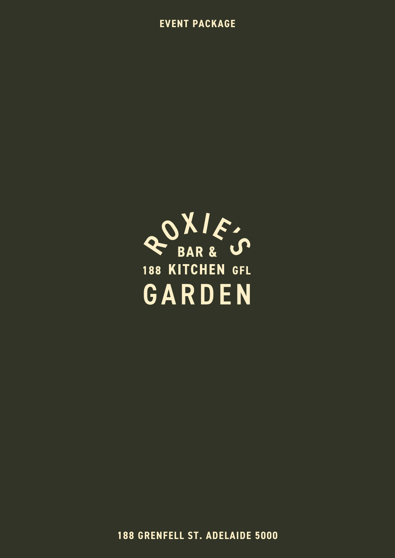**EVENT PACKAGE** 



**188 GRENFELL ST. ADELAIDE 5000**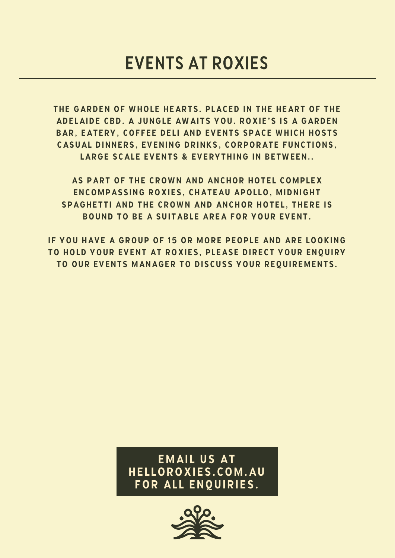the garden of whole hearts. placed in the heart of the adelaide cbd. a jungle awaits you. roxie's is a garden bar, eatery, coffee deli and events space which hosts casual dinners, evening drinks, corporate functions, large scale events & everything in between..

as part of the crown and anchor hotel complex encompassing roxies, chateau apollo, midnight spaghetti and the crown and anchor hotel, there is bound to be a suitable area for your event.

if you have a group of 15 or more people and are looking to hold your event at roxies, please direct your enquiry to our events manager to discuss your requirements.

> email us at helloroxies.com.au for all enquiries.

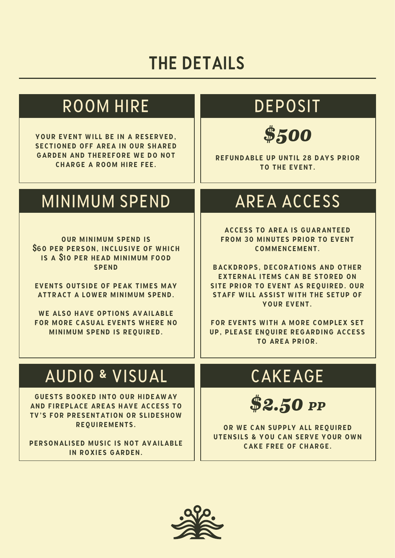# THE DETAILS

# ROOM HIRE

your event will be in a reserved, sectioned off area in our shared garden and therefore we do not charge a room hire fee.

# DEPOSIT

*\$500*

refundable up until 28 days prior to the event.

# MINIMUM SPEND | AREA ACCESS

our minimum spend is **\$**60 per person, inclusive of which is a **\$**10 per head minimum food spend

events outside of peak times may attract a lower minimum spend.

WE ALSO HAVE OPTIONS AVAILABLE for more casual events where no minimum spend is required.

access to area is guaranteed from 30 minutes prior to event commencement.

backdrops, decorations and other external items can be stored on site prior to event as required. our staff will assist with the setup of your event.

for events with a more complex set up, please enquire regarding access to area prior.

### AUDIO & VISUAL

guests booked into our hideaway and fireplace areas have access to tv's for presentation or slideshow requirements.

personalised music is not available in roxies garden.

# CAKEAGE

*\$2.50 PP*

OR WE CAN SUPPLY ALL REQUIRED utensils & you can serve your own cake free of charge.

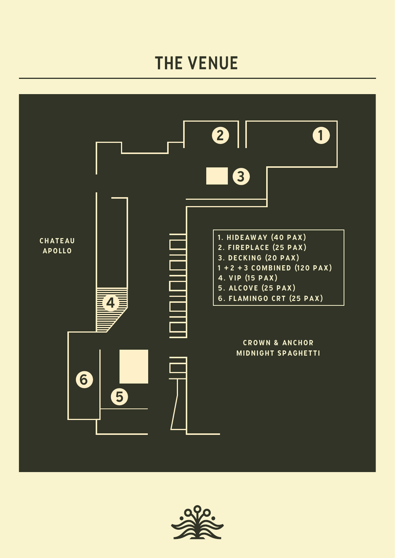# THE VENUE



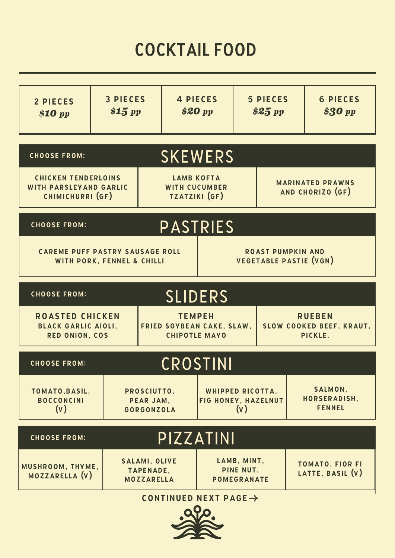# COCKTAIL FOOD

| 2 PIECES<br><i><b>\$10 pp</b></i>                                                                   | <b>3 PIECES</b><br>\$15~pp |                                                               | <b>4 PIECES</b><br>\$20~pp                         |                                                       | <b>5 PIECES</b><br>\$25~pp |                                             |                                            | <b>6 PIECES</b><br>\$30 pp |
|-----------------------------------------------------------------------------------------------------|----------------------------|---------------------------------------------------------------|----------------------------------------------------|-------------------------------------------------------|----------------------------|---------------------------------------------|--------------------------------------------|----------------------------|
| <b>CHOOSE FROM:</b>                                                                                 |                            |                                                               |                                                    | <b>SKEWERS</b>                                        |                            |                                             |                                            |                            |
| <b>CHICKEN TENDERLOINS</b><br><b>WITH PARSLEYAND GARLIC</b><br>CHIMICHURRI (GF)                     |                            | <b>LAMB KOFTA</b><br><b>WITH CUCUMBER</b><br>TZATZIKI (GF)    |                                                    |                                                       |                            | <b>MARINATED PRAWNS</b><br>AND CHORIZO (GF) |                                            |                            |
| <b>PASTRIES</b><br><b>CHOOSE FROM:</b>                                                              |                            |                                                               |                                                    |                                                       |                            |                                             |                                            |                            |
| <b>CAREME PUFF PASTRY SAUSAGE ROLL</b><br>WITH PORK, FENNEL & CHILLI                                |                            |                                                               | <b>ROAST PUMPKIN AND</b><br>VEGETABLE PASTIE (VGN) |                                                       |                            |                                             |                                            |                            |
| <b>SLIDERS</b><br><b>CHOOSE FROM:</b>                                                               |                            |                                                               |                                                    |                                                       |                            |                                             |                                            |                            |
| <b>ROASTED CHICKEN</b><br><b>BLACK GARLIC AIOLI,</b><br>FRIED SOYBEAN CAKE, SLAW,<br>RED ONION, COS |                            | <b>TEMPEH</b>                                                 | <b>CHIPOTLE MAYO</b>                               | <b>RUEBEN</b><br>SLOW COOKED BEEF, KRAUT,<br>PICKLE.  |                            |                                             |                                            |                            |
| CROSTINI<br><b>CHOOSE FROM:</b>                                                                     |                            |                                                               |                                                    |                                                       |                            |                                             |                                            |                            |
| TOMATO, BASIL,<br><b>BOCCONCINI</b><br>(v)                                                          |                            | PROSCIUTTO,<br>PEAR JAM,<br>GORGONZOLA                        |                                                    | <b>WHIPPED RICOTTA,</b><br>FIG HONEY, HAZELNUT<br>(v) |                            |                                             | SALMON,<br>HORSERADISH,<br><b>FENNEL</b>   |                            |
| PIZZATINI<br><b>CHOOSE FROM:</b>                                                                    |                            |                                                               |                                                    |                                                       |                            |                                             |                                            |                            |
| MUSHROOM, THYME,<br>MOZZARELLA (V)                                                                  |                            | <b>SALAMI, OLIVE</b><br><b>TAPENADE,</b><br><b>MOZZARELLA</b> |                                                    | LAMB, MINT,<br>PINE NUT,<br><b>POMEGRANATE</b>        |                            |                                             | <b>TOMATO, FIOR FI</b><br>LATTE, BASIL (V) |                            |
|                                                                                                     |                            | CONTINUED NEXT PAGE $\rightarrow$                             |                                                    |                                                       |                            |                                             |                                            |                            |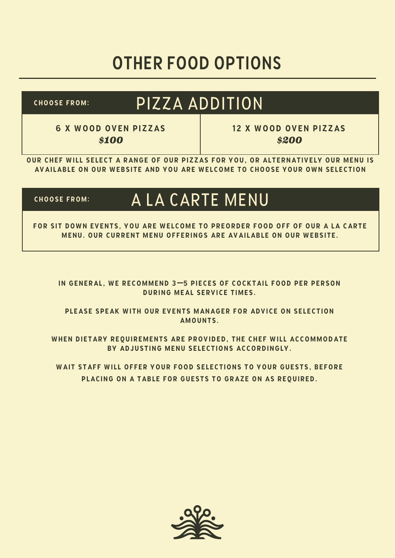# OTHER FOOD OPTIONS

choose from:

#### PIZZA ADDITION

6 x wood oven pizzas *\$100*

12 x wood oven pizzas *\$200*

our chef will select a range of our pizzas for you, or alternatively our menu is available on our website and you are welcome to choose your own selection

#### choose from: A LA CARTE MENU

for sit down events, you are welcome to preorder food off of our a la carte menu. our current menu offerings are available on our website.

in general, we recommend 3**—**5 pieces of cocktail food per person during meal service times.

please speak with our events manager for advice on selection amounts.

when dietary requirements are provided, the chef will accommodate by adjusting menu selections accordingly.

wait staff will offer your food selections to your guests, before placing on a table for guests to graze on as required.

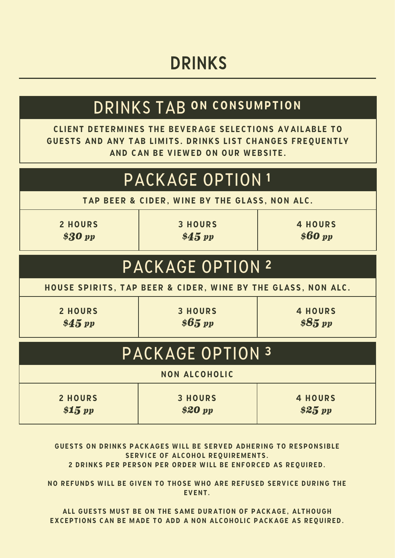#### DRINKS

#### DRINKS TAB ON CONSUMPTION

client determines the beverage selections available to guests and any tab limits. drinks list changes frequently and can be viewed on our website.

#### PACKAGE OPTION 2 PACKAGE OPTION 1 2 hours *\$30 pp* tap beer & cider, wine by the glass, non alc. 3 hours *\$45 pp* 4 hours *\$60 pp*

house spirits, tap beer & cider, wine by the glass, non alc.

2 hours *\$45 pp*

3 hours *\$65 pp*

4 hours *\$85 pp*

| PACKAGE OPTION 3   |                           |                           |  |  |  |  |
|--------------------|---------------------------|---------------------------|--|--|--|--|
|                    | <b>NON ALCOHOLIC</b>      |                           |  |  |  |  |
| 2 HOURS<br>\$15~pp | <b>3 HOURS</b><br>\$20~pp | <b>4 HOURS</b><br>\$25~pp |  |  |  |  |

guests on drinks packages will be served adhering to responsible SERVICE OF ALCOHOL REQUIREMENTS.

2 drinks per person per order will be enforced as required.

no refunds will be given to those who are refused service during the EVENT.

all guests must be on the same duration of package, although exceptions can be made to add a non alcoholic package as required.